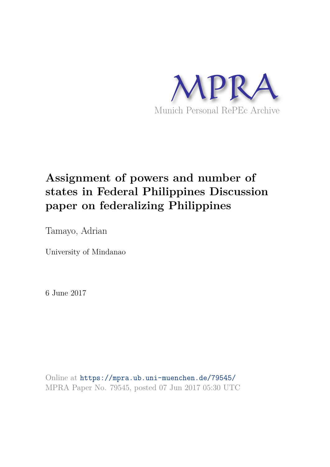

# **Assignment of powers and number of states in Federal Philippines Discussion paper on federalizing Philippines**

Tamayo, Adrian

University of Mindanao

6 June 2017

Online at https://mpra.ub.uni-muenchen.de/79545/ MPRA Paper No. 79545, posted 07 Jun 2017 05:30 UTC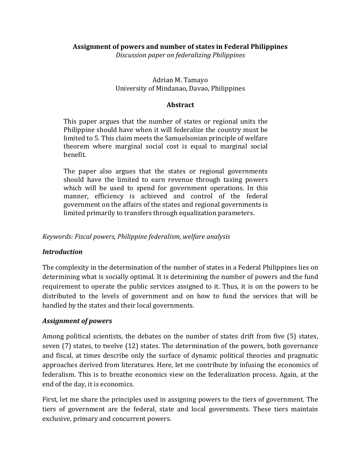### **Assignment of powers and number of states in Federal Philippines**

*Discussion paper on federalizing Philippines* 

### Adrian M. Tamayo University of Mindanao, Davao, Philippines

#### **Abstract**

This paper argues that the number of states or regional units the Philippine should have when it will federalize the country must be limited to 5. This claim meets the Samuelsonian principle of welfare theorem where marginal social cost is equal to marginal social benefit.

The paper also argues that the states or regional governments should have the limited to earn revenue through taxing powers which will be used to spend for government operations. In this manner, efficiency is achieved and control of the federal government on the affairs of the states and regional governments is limited primarily to transfers through equalization parameters.

### *Keywords: Fiscal powers, Philippine federalism, welfare analysis*

### *Introduction*

The complexity in the determination of the number of states in a Federal Philippines lies on determining what is socially optimal. It is determining the number of powers and the fund requirement to operate the public services assigned to it. Thus, it is on the powers to be distributed to the levels of government and on how to fund the services that will be handled by the states and their local governments.

### *Assignment of powers*

Among political scientists, the debates on the number of states drift from five (5) states, seven (7) states, to twelve (12) states. The determination of the powers, both governance and fiscal, at times describe only the surface of dynamic political theories and pragmatic approaches derived from literatures. Here, let me contribute by infusing the economics of federalism. This is to breathe economics view on the federalization process. Again, at the end of the day, it is economics.

First, let me share the principles used in assigning powers to the tiers of government. The tiers of government are the federal, state and local governments. These tiers maintain exclusive, primary and concurrent powers.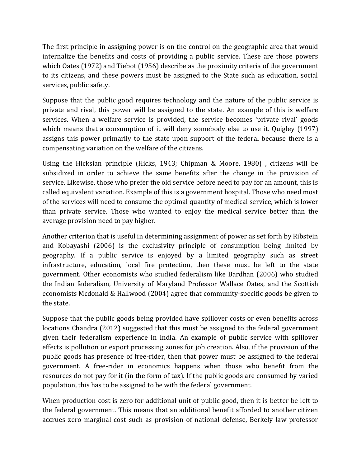The first principle in assigning power is on the control on the geographic area that would internalize the benefits and costs of providing a public service. These are those powers which Oates (1972) and Tiebot (1956) describe as the proximity criteria of the government to its citizens, and these powers must be assigned to the State such as education, social services, public safety.

Suppose that the public good requires technology and the nature of the public service is private and rival, this power will be assigned to the state. An example of this is welfare services. When a welfare service is provided, the service becomes 'private rival' goods which means that a consumption of it will deny somebody else to use it. Quigley (1997) assigns this power primarily to the state upon support of the federal because there is a compensating variation on the welfare of the citizens.

Using the Hicksian principle (Hicks, 1943; Chipman & Moore, 1980) , citizens will be subsidized in order to achieve the same benefits after the change in the provision of service. Likewise, those who prefer the old service before need to pay for an amount, this is called equivalent variation. Example of this is a government hospital. Those who need most of the services will need to consume the optimal quantity of medical service, which is lower than private service. Those who wanted to enjoy the medical service better than the average provision need to pay higher.

Another criterion that is useful in determining assignment of power as set forth by Ribstein and Kobayashi (2006) is the exclusivity principle of consumption being limited by geography. If a public service is enjoyed by a limited geography such as street infrastructure, education, local fire protection, then these must be left to the state government. Other economists who studied federalism like Bardhan (2006) who studied the Indian federalism, University of Maryland Professor Wallace Oates, and the Scottish economists Mcdonald & Hallwood (2004) agree that community-specific goods be given to the state.

Suppose that the public goods being provided have spillover costs or even benefits across locations Chandra (2012) suggested that this must be assigned to the federal government given their federalism experience in India. An example of public service with spillover effects is pollution or export processing zones for job creation. Also, if the provision of the public goods has presence of free-rider, then that power must be assigned to the federal government. A free-rider in economics happens when those who benefit from the resources do not pay for it (in the form of tax). If the public goods are consumed by varied population, this has to be assigned to be with the federal government.

When production cost is zero for additional unit of public good, then it is better be left to the federal government. This means that an additional benefit afforded to another citizen accrues zero marginal cost such as provision of national defense, Berkely law professor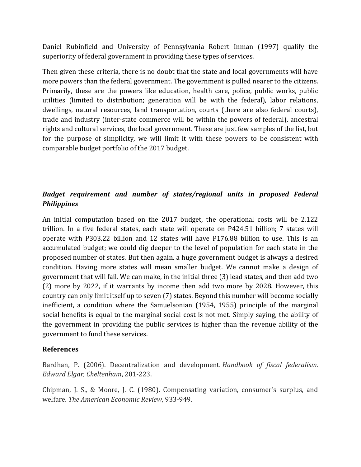Daniel Rubinfield and University of Pennsylvania Robert Inman (1997) qualify the superiority of federal government in providing these types of services.

Then given these criteria, there is no doubt that the state and local governments will have more powers than the federal government. The government is pulled nearer to the citizens. Primarily, these are the powers like education, health care, police, public works, public utilities (limited to distribution; generation will be with the federal), labor relations, dwellings, natural resources, land transportation, courts (there are also federal courts), trade and industry (inter-state commerce will be within the powers of federal), ancestral rights and cultural services, the local government. These are just few samples of the list, but for the purpose of simplicity, we will limit it with these powers to be consistent with comparable budget portfolio of the 2017 budget.

## *Budget requirement and number of states/regional units in proposed Federal Philippines*

An initial computation based on the 2017 budget, the operational costs will be 2.122 trillion. In a five federal states, each state will operate on P424.51 billion; 7 states will operate with P303.22 billion and 12 states will have P176.88 billion to use. This is an accumulated budget; we could dig deeper to the level of population for each state in the proposed number of states. But then again, a huge government budget is always a desired condition. Having more states will mean smaller budget. We cannot make a design of government that will fail. We can make, in the initial three (3) lead states, and then add two (2) more by 2022, if it warrants by income then add two more by 2028. However, this country can only limit itself up to seven (7) states. Beyond this number will become socially inefficient, a condition where the Samuelsonian (1954, 1955) principle of the marginal social benefits is equal to the marginal social cost is not met. Simply saying, the ability of the government in providing the public services is higher than the revenue ability of the government to fund these services.

### **References**

Bardhan, P. (2006). Decentralization and development. *Handbook of fiscal federalism. Edward Elgar, Cheltenham*, 201-223.

Chipman, J. S., & Moore, J. C. (1980). Compensating variation, consumer's surplus, and welfare. *The American Economic Review*, 933-949.